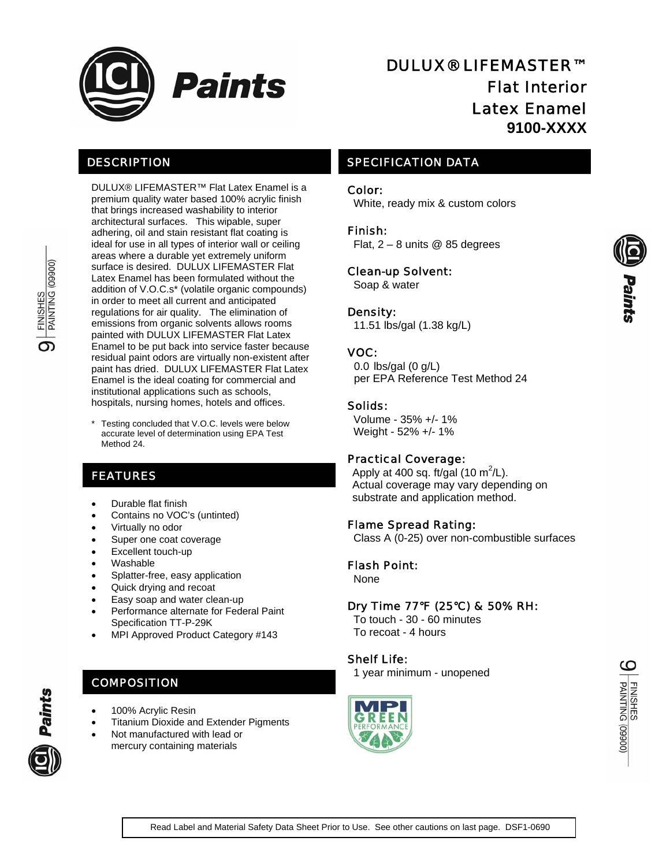

# DESCRIPTION

DULUX® LIFEMASTER™ Flat Latex Enamel is a premium quality water based 100% acrylic finish that brings increased washability to interior architectural surfaces. This wipable, super adhering, oil and stain resistant flat coating is ideal for use in all types of interior wall or ceiling areas where a durable yet extremely uniform surface is desired. DULUX LIFEMASTER Flat Latex Enamel has been formulated without the addition of V.O.C.s\* (volatile organic compounds) in order to meet all current and anticipated regulations for air quality. The elimination of emissions from organic solvents allows rooms painted with DULUX LIFEMASTER Flat Latex Enamel to be put back into service faster because residual paint odors are virtually non-existent after paint has dried. DULUX LIFEMASTER Flat Latex Enamel is the ideal coating for commercial and institutional applications such as schools, hospitals, nursing homes, hotels and offices.

Testing concluded that V.O.C. levels were below accurate level of determination using EPA Test Method 24

# FEATURES

- Durable flat finish
- Contains no VOC's (untinted)
- Virtually no odor
- Super one coat coverage
- Excellent touch-up
- Washable
- Splatter-free, easy application
- Quick drying and recoat
- Easy soap and water clean-up
- Performance alternate for Federal Paint Specification TT-P-29K
- MPI Approved Product Category #143

# **COMPOSITION**

- 100% Acrylic Resin
- Titanium Dioxide and Extender Pigments
- Not manufactured with lead or

# mercury containing materials

# DULUX® LIFEMASTER™ Flat Interior Latex Enamel **9100-XXXX**

# SPECIFICATION DATA

#### Color:

White, ready mix & custom colors

# Finish:

Flat,  $2 - 8$  units @ 85 degrees

## Clean-up Solvent:

Soap & water

## Density:

11.51 lbs/gal (1.38 kg/L)

# VOC:

0.0 lbs/gal (0 g/L) per EPA Reference Test Method 24

## Solids:

 Volume - 35% +/- 1% Weight - 52% +/- 1%

#### Practical Coverage:

Apply at 400 sq. ft/gal (10 m<sup>2</sup>/L). Actual coverage may vary depending on substrate and application method.

# Flame Spread Rating:

Class A (0-25) over non-combustible surfaces

#### Flash Point:

None

# Dry Time 77°F (25°C) & 50% RH:

 To touch - 30 - 60 minutes To recoat - 4 hours

# Shelf Life:

1 year minimum - unopened